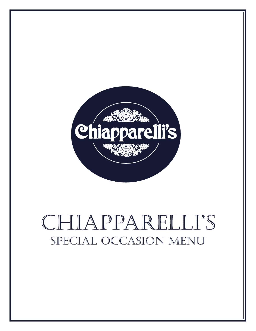

# CHIAPPARELLI'S SPECIAL OCCASION MENU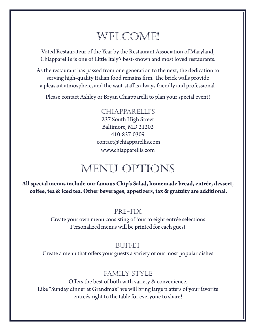## WELCOME!

Voted Restaurateur of the Year by the Restaurant Association of Maryland, Chiapparelli's is one of Little Italy's best-known and most loved restaurants.

As the restaurant has passed from one generation to the next, the dedication to serving high-quality Italian food remains firm. The brick walls provide a pleasant atmosphere, and the wait-staff is always friendly and professional.

Please contact Ashley or Bryan Chiapparelli to plan your special event!

#### chiapparelli's

237 South High Street Baltimore, MD 21202 410-837-0309 contact@chiapparellis.com www.chiapparellis.com

### MENU OPTIONS

**All special menus include our famous Chip's Salad, homemade bread, entrée, dessert, coffee, tea & iced tea. Other beverages, appetizers, tax & gratuity are additional.** 

#### Pre-Fix

Create your own menu consisting of four to eight entrée selections Personalized menus will be printed for each guest

#### **BUFFET**

Create a menu that offers your guests a variety of our most popular dishes

#### Family STyle

Offers the best of both with variety & convenience. Like "Sunday dinner at Grandma's" we will bring large platters of your favorite entreés right to the table for everyone to share!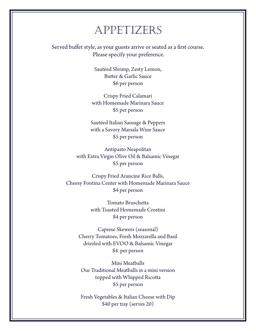### APPETIZERS

Served buffet style, as your guests arrive or seated as a first course. Please specify your preference.

> Sautéed Shrimp, Zesty Lemon, Butter & Garlic Sauce \$6 per person

Crispy Fried Calamari with Homemade Marinara Sauce \$5 per person

Sautéed Italian Sausage & Peppers with a Savory Marsala Wine Sauce \$5 per person

Antipasto Neapolitan with Extra Virgin Olive Oil & Balsamic Vinegar \$5 per person

Crispy Fried Arancine Rice Balls, Cheesy Fontina Center with Homemade Marinara Sauce \$4 per person

> Tomato Bruschetta with Toasted Homemade Crostini \$4 per person

Caprese Skewers (seasonal) Cherry Tomatoes, Fresh Mozzarella and Basil drizzled with EVOO & Balsamic Vinegar \$4 per person

Mini Meatballs Our Traditional Meatballs in a mini version topped with Whipped Ricotta \$5 per person

Fresh Vegetables & Italian Cheese with Dip \$40 per tray (serves 20)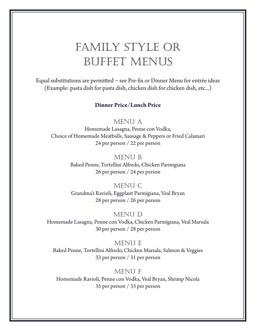# Family Style or Buffet Menus

Equal substitutions are permitted ~ see Pre-fix or Dinner Menu for entrée ideas (Example: pasta dish for pasta dish, chicken dish for chicken dish, etc...)

#### **Dinner Price/Lunch Price**

#### MENU A

Homemade Lasagna, Penne con Vodka, Choice of Homemade Meatballs, Sausage & Peppers or Fried Calamari 24 per person / 22 per person

#### MENU B

Baked Penne, Tortellini Alfredo, Chicken Parmigiana 26 per person / 24 per person

#### MENU C

Grandma's Ravioli, Eggplant Parmigiana, Veal Bryan 28 per person / 26 per person

#### MENU D

Homemade Lasagna, Penne con Vodka, Chicken Parmigiana, Veal Marsala 30 per person / 28 per person

#### MENU E

Baked Penne, Tortellini Alfredo, Chicken Marsala, Salmon & Veggies 33 per person / 31 per person

#### MENU F

Homemade Ravioli, Penne con Vodka, Veal Bryan, Shrimp Nicola 35 per person / 33 per person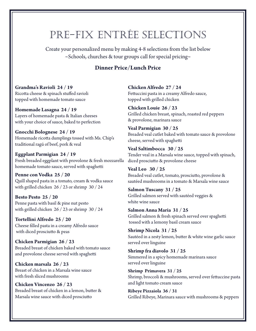# PRe-Fix EntrÉe Selections

Create your personalized menu by making 4-8 selections from the list below  $\sim$ Schools, churches & tour groups call for special pricing $\sim$ 

#### **Dinner Price/Lunch Price**

**Grandma's Ravioli 24 / 19** Ricotta cheese & spinach stuffed ravioli topped with homemade tomato sauce

**Homemade Lasagna 24 / 19** Layers of homemade pasta & Italian cheeses with your choice of sauce, baked to perfection

**Gnocchi Bolognese 24 / 19** Homemade ricotta dumplings tossed with Ms. Chip's traditional ragú of beef, pork & veal

**Eggplant Parmigian 24 / 19** Fresh breaded eggplant with provolone & fresh mozzarella diced prosciutto & provolone cheese homemade tomato sauce, served with spaghetti

**Penne con Vodka 25 / 20** Quill shaped pasta in a tomato, cream & vodka sauce with grilled chicken 26 / 23 or shrimp 30 / 24

**Besto Pesto 25 / 20** Penne pasta with basil & pine nut pesto with grilled chicken 26 / 23 or shrimp 30 / 24

**Tortellini Alfredo 25 / 20** Cheese filled pasta in a creamy Alfredo sauce with diced prosciutto & peas

**Chicken Parmigian 26 / 23** Breaded breast of chicken baked with tomato sauce and provolone cheese served with spaghetti

**Chicken marsala 26 / 23** Breast of chicken in a Marsala wine sauce with fresh sliced mushrooms

**Chicken Vincenzo 26 / 23** Breaded breast of chicken in a lemon, butter & Marsala wine sauce with diced prosciutto

**Chicken Alfredo 27 / 24** Fettuccini pasta in a creamy Alfredo sauce, topped with grilled chicken

**Chicken Louie 26 / 23** Grilled chicken breast, spinach, roasted red peppers & provolone, marinara sauce

**Veal Parmigian 30 / 25** Breaded veal cutlet baked with tomato sauce & provolone cheese, served with spaghetti

**Veal Saltimbocca 30 / 25** Tender veal in a Marsala wine sauce, topped with spinach,

**Veal Leo 30 / 25** Breaded veal cutlet, tomato, prosciutto, provolone & sautéed mushrooms in a tomato & Marsala wine sauce

**Salmon Tuscany 31 / 25** Grilled salmon served with sautéed veggies & white wine sauce

**Salmon Anna Maria 31 / 25** Grilled salmon & fresh spinach served over spaghetti tossed with a lemony basil cream sauce

**Shrimp Nicola 31 / 25** Sautéed in a zesty lemon, butter & white wine garlic sauce served over linguine

**Shrimp fra diavolo 31 / 25**  Simmered in a spicy homemade marinara sauce served over linguine

**Shrimp Primavera 31 / 25**  Shrimp, broccoli & mushrooms, served over fettuccine pasta and light tomato cream sauce

**Ribeye Pizzaiola 36 / 31** Grilled Ribeye, Marinara sauce with mushrooms & peppers